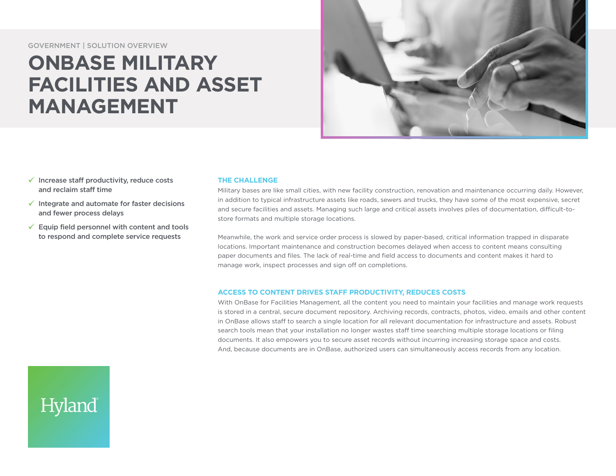GOVERNMENT | SOLUTION OVERVIEW

# **ONBASE MILITARY FACILITIES AND ASSET MANAGEMENT**



- $\checkmark$  Increase staff productivity, reduce costs and reclaim staff time
- $\checkmark$  Integrate and automate for faster decisions and fewer process delays
- $\checkmark$  Equip field personnel with content and tools to respond and complete service requests

Hyland

## **THE CHALLENGE**

Military bases are like small cities, with new facility construction, renovation and maintenance occurring daily. However, in addition to typical infrastructure assets like roads, sewers and trucks, they have some of the most expensive, secret and secure facilities and assets. Managing such large and critical assets involves piles of documentation, difficult-tostore formats and multiple storage locations.

Meanwhile, the work and service order process is slowed by paper-based, critical information trapped in disparate locations. Important maintenance and construction becomes delayed when access to content means consulting paper documents and files. The lack of real-time and field access to documents and content makes it hard to manage work, inspect processes and sign off on completions.

### **ACCESS TO CONTENT DRIVES STAFF PRODUCTIVITY, REDUCES COSTS**

With OnBase for Facilities Management, all the content you need to maintain your facilities and manage work requests is stored in a central, secure document repository. Archiving records, contracts, photos, video, emails and other content in OnBase allows staff to search a single location for all relevant documentation for infrastructure and assets. Robust search tools mean that your installation no longer wastes staff time searching multiple storage locations or filing documents. It also empowers you to secure asset records without incurring increasing storage space and costs. And, because documents are in OnBase, authorized users can simultaneously access records from any location.